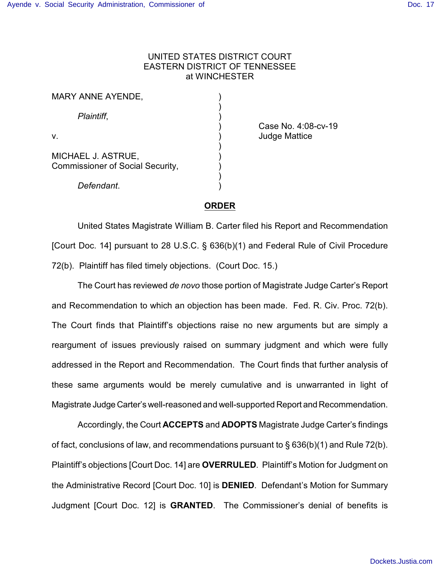## UNITED STATES DISTRICT COURT EASTERN DISTRICT OF TENNESSEE at WINCHESTER

| MARY ANNE AYENDE,                       |                      |
|-----------------------------------------|----------------------|
| Plaintiff,                              |                      |
|                                         | Case No. 4:08        |
| V.                                      | <b>Judge Mattice</b> |
|                                         |                      |
| MICHAEL J. ASTRUE,                      |                      |
| <b>Commissioner of Social Security,</b> |                      |
|                                         |                      |
| Defendant.                              |                      |

) Case No. 4:08-cv-19

## **ORDER**

United States Magistrate William B. Carter filed his Report and Recommendation [Court Doc. 14] pursuant to 28 U.S.C. § 636(b)(1) and Federal Rule of Civil Procedure 72(b). Plaintiff has filed timely objections. (Court Doc. 15.)

The Court has reviewed *de novo* those portion of Magistrate Judge Carter's Report and Recommendation to which an objection has been made. Fed. R. Civ. Proc. 72(b). The Court finds that Plaintiff's objections raise no new arguments but are simply a reargument of issues previously raised on summary judgment and which were fully addressed in the Report and Recommendation. The Court finds that further analysis of these same arguments would be merely cumulative and is unwarranted in light of Magistrate Judge Carter's well-reasoned and well-supported Report and Recommendation.

Accordingly, the Court **ACCEPTS** and **ADOPTS** Magistrate Judge Carter's findings of fact, conclusions of law, and recommendations pursuant to § 636(b)(1) and Rule 72(b). Plaintiff's objections [Court Doc. 14] are **OVERRULED**. Plaintiff's Motion for Judgment on the Administrative Record [Court Doc. 10] is **DENIED**. Defendant's Motion for Summary Judgment [Court Doc. 12] is **GRANTED**. The Commissioner's denial of benefits is